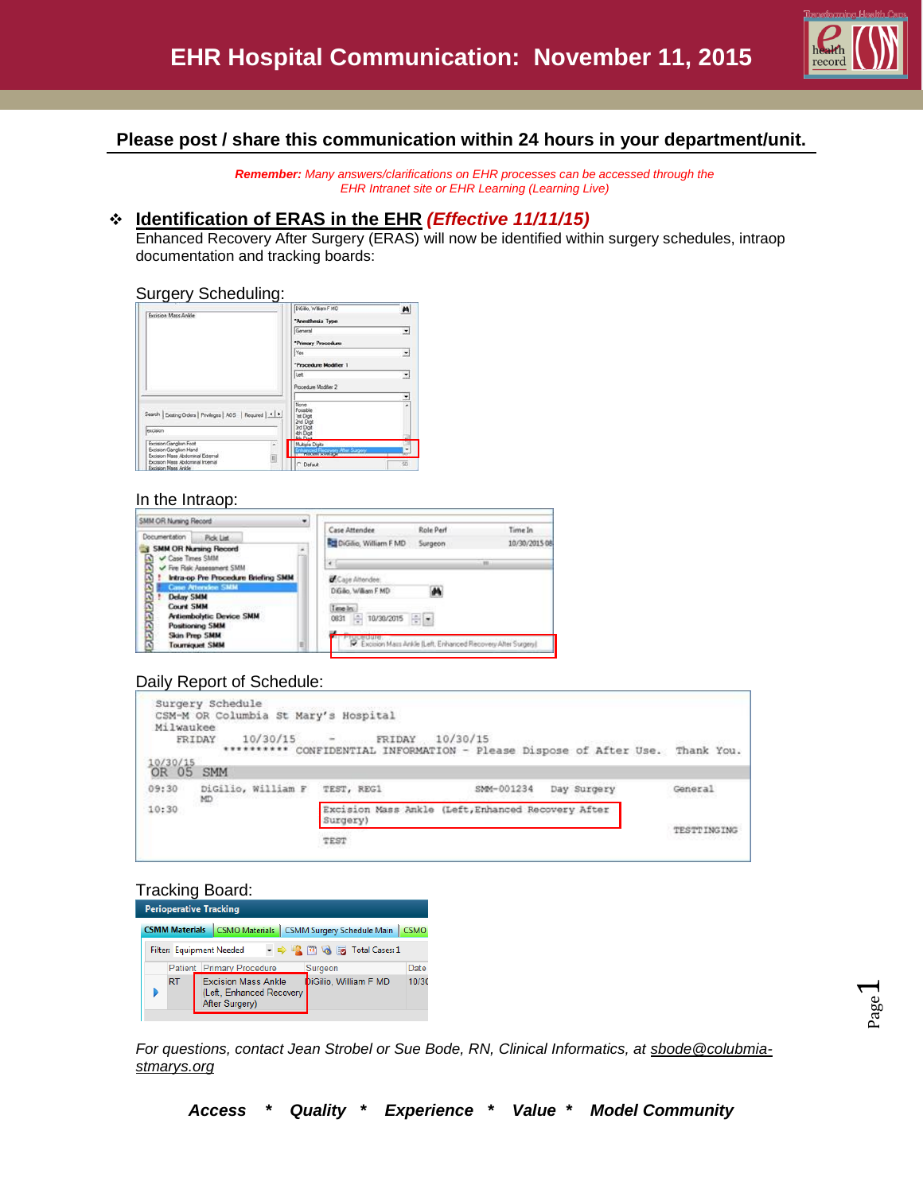

## **Please post / share this communication within 24 hours in your department/unit.**

*Remember: Many answers/clarifications on EHR processes can be accessed through the EHR Intranet site or EHR Learning (Learning Live)*

#### **Identification of ERAS in the EHR** *(Effective 11/11/15)*

Enhanced Recovery After Surgery (ERAS) will now be identified within surgery schedules, intraop documentation and tracking boards:

#### Surgery Scheduling:

| Excision Mass Ankle                                                                               | DiGilio, William F MD                                                     |                |
|---------------------------------------------------------------------------------------------------|---------------------------------------------------------------------------|----------------|
|                                                                                                   | "Anesthesia Type                                                          |                |
|                                                                                                   | General                                                                   | $\overline{ }$ |
|                                                                                                   | "Primary Procedure                                                        |                |
|                                                                                                   | Yes                                                                       | ٠              |
|                                                                                                   | "Procedure Modifier 1                                                     |                |
|                                                                                                   | lue                                                                       |                |
|                                                                                                   | Procedure Modifier 2                                                      |                |
|                                                                                                   |                                                                           | $\frac{1}{2}$  |
| Search   Existing Orders   Privileges   AOS   Required   1   1<br>excision                        | None<br>Possible<br><b>Tet Digit</b><br>2nd Digit<br>3rd Digit<br>4h Digt |                |
| Excision Gangion Foot<br>×                                                                        |                                                                           |                |
| Excision Ganglion Hand                                                                            | Multiple Digits<br><b>Incorporation After Sugary</b>                      |                |
| Excision Mass Abdominal External<br>ij<br>Excision Mass Abdominal Internal<br>Excision Mass Ankle | C Default                                                                 | 50             |

#### In the Intraop:

| SMM OR Nursing Record<br>٠                                                                                                                                                                                    |                                                                                                                                                                          |               |  |  |
|---------------------------------------------------------------------------------------------------------------------------------------------------------------------------------------------------------------|--------------------------------------------------------------------------------------------------------------------------------------------------------------------------|---------------|--|--|
| Documentation<br><b>Pick List</b>                                                                                                                                                                             | Role Perf<br>Case Attendee                                                                                                                                               | Time In       |  |  |
| <b>SMM OR Nursing Record</b><br>۰<br><b>COLLECTION</b><br>Case Times SMM                                                                                                                                      | <b>Rtt</b> DiGilio, William F MD<br>Surgeon                                                                                                                              | 10/30/2015 08 |  |  |
| Fire Risk Assessment SMM                                                                                                                                                                                      | 391<br>٠                                                                                                                                                                 |               |  |  |
| વાલસસસસસસ<br>Intra-op Pre Procedure Briefing SMM<br><b>Case Attendee SMM</b><br><b>Delay SMM</b><br>Count SMM<br><b>Antiembolytic Device SMM</b><br>Positioning SMM<br>Skin Prep SMM<br><b>Tourniquet SMM</b> | Caje Alterdee:<br>M<br>DiGilio, William F MD<br>Time Inc.<br>위치<br>10/30/2015<br>0831<br><b>OCBOUR</b><br>F. Excision Mass Ankle (Left, Enhanced Recovery Alter Surgery) |               |  |  |

## Daily Report of Schedule:

| Milwaukee<br>10/30/15<br>OR 05 | Surgery Schedule<br>CSM-M OR Columbia St Mary's Hospital<br>10/30/15<br>FRIDAY<br><b>SMM</b> | $-$ FRIDAY | 10/30/15<br>********* CONFIDENTIAL INFORMATION - Please Dispose of After Use. | Thank You.  |
|--------------------------------|----------------------------------------------------------------------------------------------|------------|-------------------------------------------------------------------------------|-------------|
| 09:30                          | DiGilio, William F<br>MD.                                                                    | TEST, REG1 | SMM-001234<br>Day Surgery                                                     | General     |
| 10:30                          |                                                                                              | Surgery)   | Excision Mass Ankle (Left, Enhanced Recovery After                            |             |
|                                |                                                                                              | TEST       |                                                                               | TESTTINGING |

#### Tracking Board:

| <b>Perioperative Tracking</b>                                                         |           |                                                                                                   |       |  |  |  |  |
|---------------------------------------------------------------------------------------|-----------|---------------------------------------------------------------------------------------------------|-------|--|--|--|--|
| CSMO Materials   CSMM Surgery Schedule Main  <br><b>CSMM Materials</b><br><b>CSMO</b> |           |                                                                                                   |       |  |  |  |  |
| → ⇒ 2 [12] Q <b>Ext</b> Total Cases: 1<br>Filter: Equipment Needed                    |           |                                                                                                   |       |  |  |  |  |
| Patient Primary Procedure<br>Date<br>Surgeon                                          |           |                                                                                                   |       |  |  |  |  |
|                                                                                       | <b>RT</b> | DiGilio, William F MD<br><b>Excision Mass Ankle</b><br>(Left, Enhanced Recovery<br>After Surgery) | 10/30 |  |  |  |  |

*For questions, contact Jean Strobel or Sue Bode, RN, Clinical Informatics, at sbode@colubmiastmarys.org*

 $\overline{\phantom{0}}$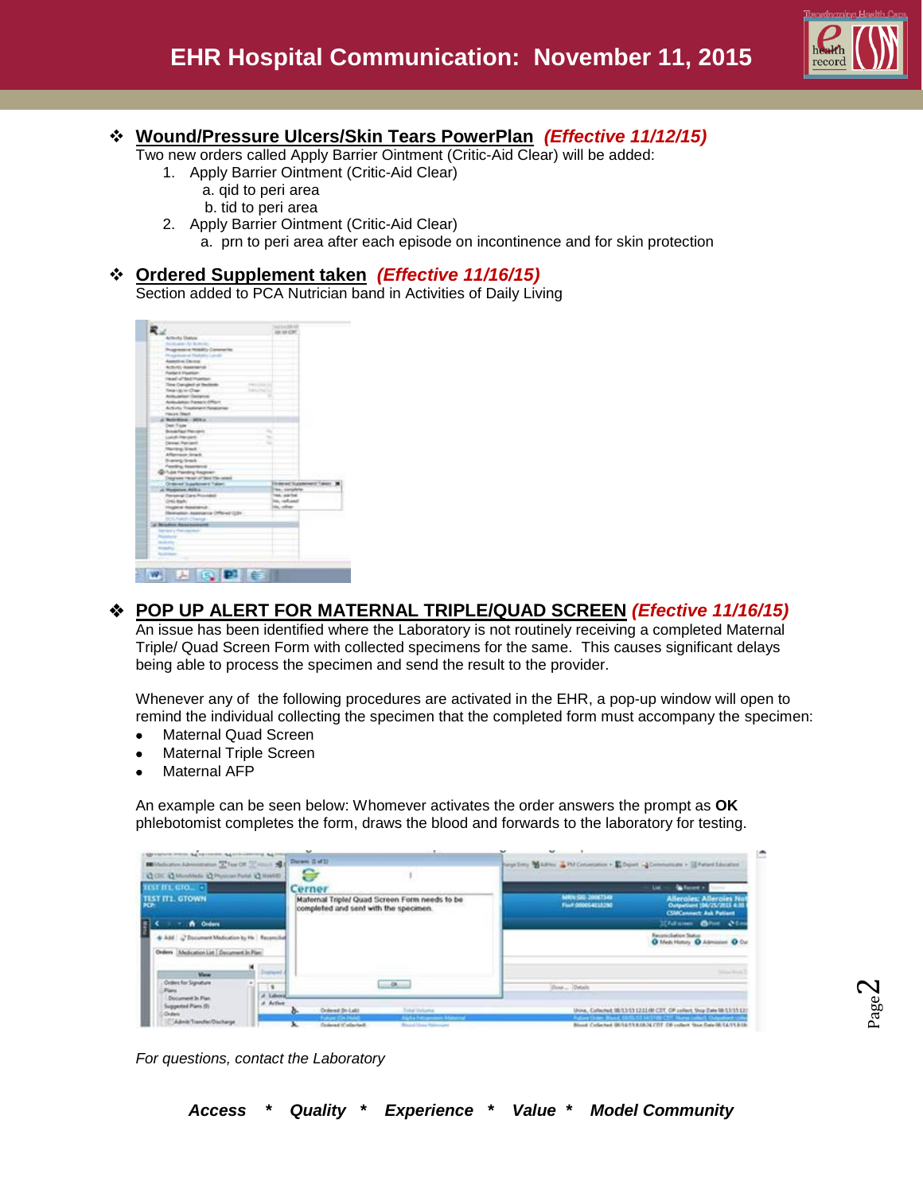

# **Wound/Pressure Ulcers/Skin Tears PowerPlan** *(Effective 11/12/15)*

Two new orders called Apply Barrier Ointment (Critic-Aid Clear) will be added:

- 1. Apply Barrier Ointment (Critic-Aid Clear)
	- a. qid to peri area b. tid to peri area
- 2. Apply Barrier Ointment (Critic-Aid Clear)
	- a. prn to peri area after each episode on incontinence and for skin protection

## **Ordered Supplement taken** *(Effective 11/16/15)*

Section added to PCA Nutrician band in Activities of Daily Living

ı

|                                           | THAT I A STREET                  |
|-------------------------------------------|----------------------------------|
| <b>CARD 1979</b>                          | <b>JA WORT</b>                   |
| Activity Shahai                           |                                  |
| Acchute M. Bellette                       |                                  |
| Progressive Mobility Constraints          |                                  |
| Progressiva Madallo Levilli               |                                  |
| Associate Denner                          |                                  |
| Acture; injuriance                        |                                  |
| Parlam & Provider<br>Head of Bed Provider |                                  |
|                                           |                                  |
| Time Darigled at Bedeler                  |                                  |
| Total car in Chair.                       |                                  |
| Antuiteten Geneva                         | ٠                                |
| Ankulates Passer (Plan)                   |                                  |
| Activity Trautenerit Requirem-            |                                  |
| <b>Finance Street</b>                     |                                  |
| at Ballydians - 1973 o.                   |                                  |
| Dent/Taper                                |                                  |
| <b>Brasilian Ferrari</b>                  | ÷                                |
| Listed Princers                           | v.                               |
| Desai Pariant                             | ÷                                |
| Marring Street                            |                                  |
| Afternoon Snadt                           |                                  |
| <b>Burning Small</b>                      |                                  |
| Fasting Instriered                        |                                  |
| <b><i>List Fentry August:</i></b>         |                                  |
| Degrees three of Box the week             |                                  |
| Ontered Supplement Taken:                 | <b>Tildered Tudglement Taken</b> |
| at Horperson AUK a.                       | Tex. complete                    |
| <b>Personal Dark Provided</b>             | Text, sarted                     |
| (Int) Bah.                                | inc. rational                    |
| <b>Hypera Australia</b>                   | its, other                       |
| Monater Associate (Ministright)           |                                  |
|                                           |                                  |
| <b>Brooker Associations!</b>              |                                  |
| <b>Service Permission</b>                 |                                  |
|                                           |                                  |
|                                           |                                  |
|                                           |                                  |
|                                           |                                  |
|                                           |                                  |
|                                           |                                  |

# **POP UP ALERT FOR MATERNAL TRIPLE/QUAD SCREEN** *(Efective 11/16/15)*

An issue has been identified where the Laboratory is not routinely receiving a completed Maternal Triple/ Quad Screen Form with collected specimens for the same. This causes significant delays being able to process the specimen and send the result to the provider.

Whenever any of the following procedures are activated in the EHR, a pop-up window will open to remind the individual collecting the specimen that the completed form must accompany the specimen:

- Maternal Quad Screen
- Maternal Triple Screen
- Maternal AFP

An example can be seen below: Whomever activates the order answers the prompt as **OK** phlebotomist completes the form, draws the blood and forwards to the laboratory for testing.

| <b>SECOND PRINT &amp; SECONDS &amp; CONTROL RA</b>                                          |                         |                                                                                                                                                                                                                                                                                                                                                                                                                                                                     |                                                                                                                                            |
|---------------------------------------------------------------------------------------------|-------------------------|---------------------------------------------------------------------------------------------------------------------------------------------------------------------------------------------------------------------------------------------------------------------------------------------------------------------------------------------------------------------------------------------------------------------------------------------------------------------|--------------------------------------------------------------------------------------------------------------------------------------------|
| <b>BE</b> Mailcotten Administration Telegrith (China) St.                                   |                         | Discusse (Ltd'I)                                                                                                                                                                                                                                                                                                                                                                                                                                                    | separately Middless & PM Convenience > E Depart - Communicate > El Patient Education                                                       |
| <b>Q DC Q Montrade @ Physician Factor @ Health</b>                                          |                         |                                                                                                                                                                                                                                                                                                                                                                                                                                                                     |                                                                                                                                            |
| TEST III, GIO. -                                                                            |                         | Cerner                                                                                                                                                                                                                                                                                                                                                                                                                                                              | <b>Galleries</b><br>List                                                                                                                   |
| TEST ITL GTOWN                                                                              |                         | Maternal Triple/ Quad Screen Form needs to be<br>completed and sent with the specimen.                                                                                                                                                                                                                                                                                                                                                                              | MIDLEIG 20067349<br><b>Allerales: Allerales Not</b><br>Finit 000054010390<br>Outputtent (06/25/2015 4:30<br><b>CSMConnect: Ask Patient</b> |
| A Orders                                                                                    |                         |                                                                                                                                                                                                                                                                                                                                                                                                                                                                     | Efalsom Chat 21a                                                                                                                           |
| Add J Document Medication by Hs 1 Reconciliat<br>Orders [Medication List] Document In Plan: |                         |                                                                                                                                                                                                                                                                                                                                                                                                                                                                     | Reconciliation Status<br>O Medi History O Admission O Out                                                                                  |
| <b>View</b>                                                                                 | <b>HOTAHTS</b>          |                                                                                                                                                                                                                                                                                                                                                                                                                                                                     | Silver Work                                                                                                                                |
| Orders for Signature<br>Plans                                                               | 18<br><b>J. Laborat</b> | $\frac{1}{2} \left( \frac{1}{2} \frac{1}{2} \right) \left( \frac{1}{2} \right) \left( \frac{1}{2} \right) \left( \frac{1}{2} \right) \left( \frac{1}{2} \right) \left( \frac{1}{2} \right) \left( \frac{1}{2} \right) \left( \frac{1}{2} \right) \left( \frac{1}{2} \right) \left( \frac{1}{2} \right) \left( \frac{1}{2} \right) \left( \frac{1}{2} \right) \left( \frac{1}{2} \right) \left( \frac{1}{2} \right) \left( \frac{1}{2} \right) \left( \frac{1}{2} \$ | Done Datail                                                                                                                                |
| Document In Flan<br>Suggested Plans (2)<br><b>Chulants</b>                                  | A. Active               | Ondered (Dr-Lab)<br>Toker Vehana                                                                                                                                                                                                                                                                                                                                                                                                                                    | Unine, Collected; 05/13/13 12:11:00 COT, OF collect, Stop Date 06/13/15 12:                                                                |
| Admit/Transfer/Dacharge                                                                     |                         | <b>Bights Februaries Material</b><br><b>Contacaut AC adaptault</b><br><b>Riveral Lines: National Art</b>                                                                                                                                                                                                                                                                                                                                                            | Blood Collected IN/14/11/8/8/26 CDT DR collect Stop Data M-14/11/8/18                                                                      |

*For questions, contact the Laboratory*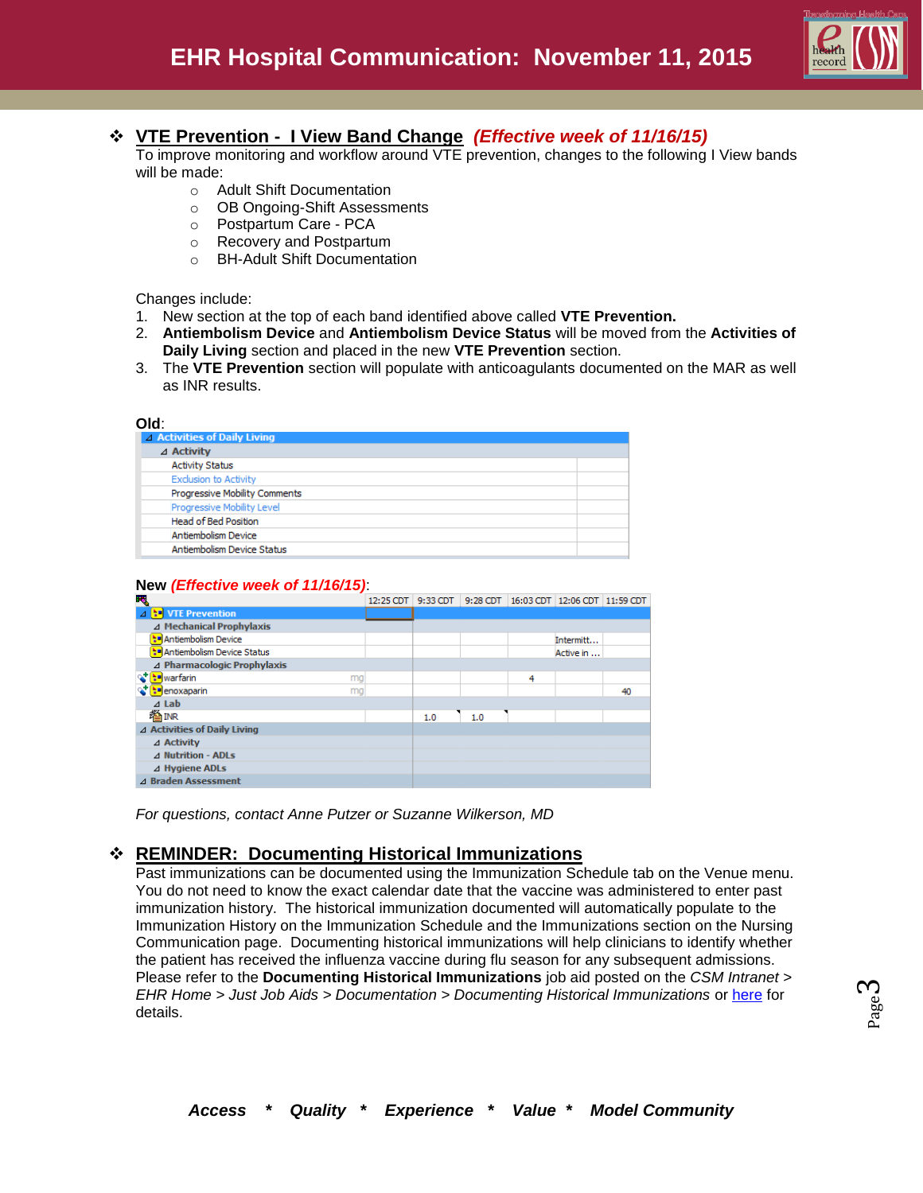

## **VTE Prevention - I View Band Change** *(Effective week of 11/16/15)*

To improve monitoring and workflow around VTE prevention, changes to the following I View bands will be made:

- o Adult Shift Documentation
- o OB Ongoing-Shift Assessments
- o Postpartum Care PCA
- o Recovery and Postpartum
- o BH-Adult Shift Documentation

Changes include:

- 1. New section at the top of each band identified above called **VTE Prevention.**
- 2. **Antiembolism Device** and **Antiembolism Device Status** will be moved from the **Activities of Daily Living** section and placed in the new **VTE Prevention** section.
- 3. The **VTE Prevention** section will populate with anticoagulants documented on the MAR as well as INR results.

| △ Activities of Daily Living  |
|-------------------------------|
|                               |
| ⊿ Activity                    |
| <b>Activity Status</b>        |
| <b>Exclusion to Activity</b>  |
| Progressive Mobility Comments |
| Progressive Mobility Level    |
| <b>Head of Bed Position</b>   |
| Antiembolism Device           |
| Antiembolism Device Status    |

#### **New** *(Effective week of 11/16/15)*:

| F.                                        | 12:25 CDT |     |     |   | 9:33 CDT 9:28 CDT 16:03 CDT 12:06 CDT 11:59 CDT |    |
|-------------------------------------------|-----------|-----|-----|---|-------------------------------------------------|----|
| ⊿ <b>b</b> VTE Prevention                 |           |     |     |   |                                                 |    |
| ⊿ Mechanical Prophylaxis                  |           |     |     |   |                                                 |    |
| * Antiembolism Device                     |           |     |     |   | Intermitt                                       |    |
| * <sup>*</sup> Antiembolism Device Status |           |     |     |   | Active in                                       |    |
| ⊿ Pharmacologic Prophylaxis               |           |     |     |   |                                                 |    |
| to warfarin<br>mg                         |           |     |     | 4 |                                                 |    |
| <mark>ୣୄ† [:=</mark> ]enoxaparin<br>mg    |           |     |     |   |                                                 | 40 |
| $\triangle$ Lab                           |           |     |     |   |                                                 |    |
| 後INR                                      |           | 1.0 | 1.0 |   |                                                 |    |
| ⊿ Activities of Daily Living              |           |     |     |   |                                                 |    |
| ⊿ Activity                                |           |     |     |   |                                                 |    |
| ⊿ Nutrition - ADLs                        |           |     |     |   |                                                 |    |
| ⊿ Hygiene ADLs                            |           |     |     |   |                                                 |    |
| ⊿ Braden Assessment                       |           |     |     |   |                                                 |    |
|                                           |           |     |     |   |                                                 |    |

*For questions, contact Anne Putzer or Suzanne Wilkerson, MD*

## **REMINDER: Documenting Historical Immunizations**

Past immunizations can be documented using the Immunization Schedule tab on the Venue menu. You do not need to know the exact calendar date that the vaccine was administered to enter past immunization history. The historical immunization documented will automatically populate to the Immunization History on the Immunization Schedule and the Immunizations section on the Nursing Communication page. Documenting historical immunizations will help clinicians to identify whether the patient has received the influenza vaccine during flu season for any subsequent admissions. Please refer to the **Documenting Historical Immunizations** job aid posted on the *CSM Intranet > EHR Home > Just Job Aids > Documentation > Documenting Historical Immunizations* or [here](http://csmintranet.columbia-stmarys.org/ehr/documents/ImmunizationSchedule_JobAid_071315_JK_v1_000.pdf) for details.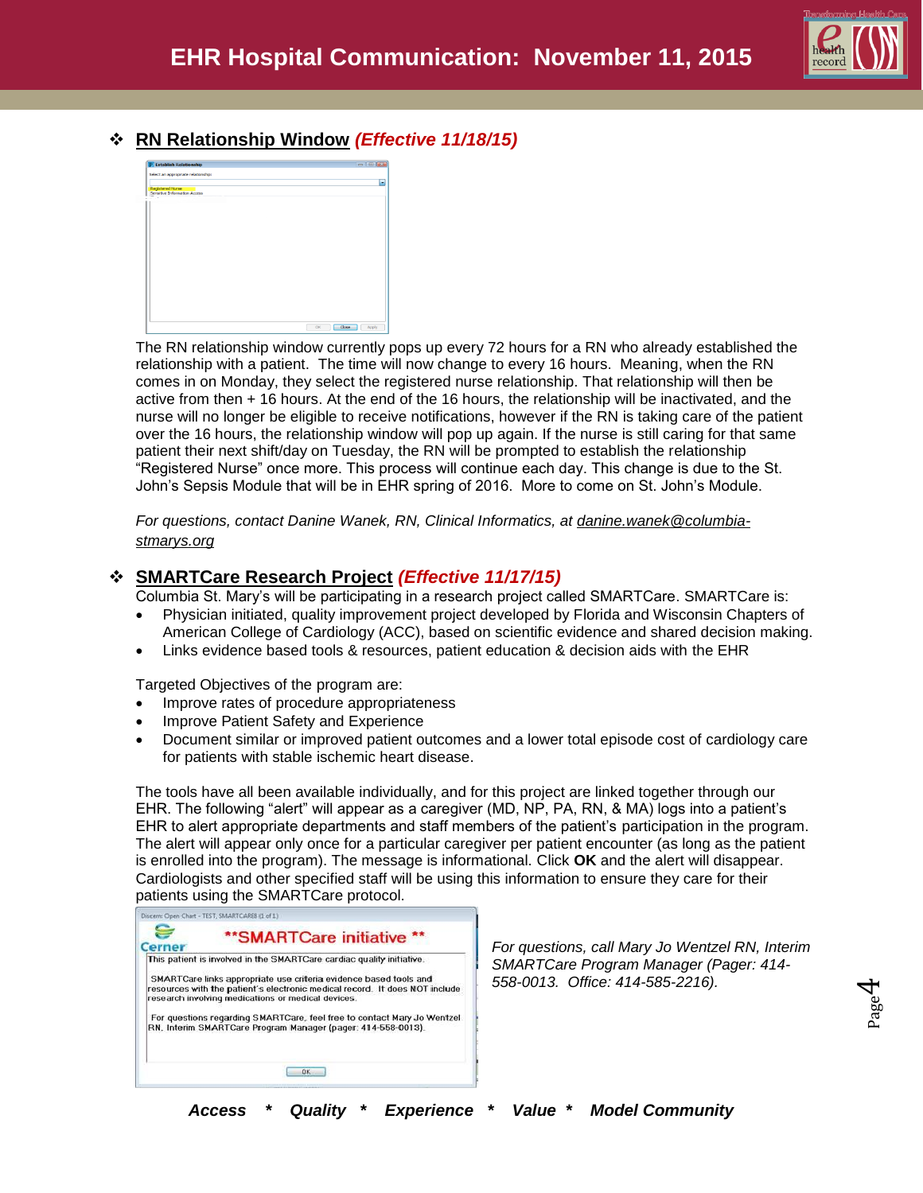

## **RN Relationship Window** *(Effective 11/18/15)*



The RN relationship window currently pops up every 72 hours for a RN who already established the relationship with a patient. The time will now change to every 16 hours. Meaning, when the RN comes in on Monday, they select the registered nurse relationship. That relationship will then be active from then + 16 hours. At the end of the 16 hours, the relationship will be inactivated, and the nurse will no longer be eligible to receive notifications, however if the RN is taking care of the patient over the 16 hours, the relationship window will pop up again. If the nurse is still caring for that same patient their next shift/day on Tuesday, the RN will be prompted to establish the relationship "Registered Nurse" once more. This process will continue each day. This change is due to the St. John's Sepsis Module that will be in EHR spring of 2016. More to come on St. John's Module.

*For questions, contact Danine Wanek, RN, Clinical Informatics, at danine.wanek@columbiastmarys.org*

## **SMARTCare Research Project** *(Effective 11/17/15)*

Columbia St. Mary's will be participating in a research project called SMARTCare. SMARTCare is:

- Physician initiated, quality improvement project developed by Florida and Wisconsin Chapters of American College of Cardiology (ACC), based on scientific evidence and shared decision making.
- Links evidence based tools & resources, patient education & decision aids with the EHR

Targeted Objectives of the program are:

- Improve rates of procedure appropriateness
- Improve Patient Safety and Experience
- Document similar or improved patient outcomes and a lower total episode cost of cardiology care for patients with stable ischemic heart disease.

The tools have all been available individually, and for this project are linked together through our EHR. The following "alert" will appear as a caregiver (MD, NP, PA, RN, & MA) logs into a patient's EHR to alert appropriate departments and staff members of the patient's participation in the program. The alert will appear only once for a particular caregiver per patient encounter (as long as the patient is enrolled into the program). The message is informational. Click **OK** and the alert will disappear. Cardiologists and other specified staff will be using this information to ensure they care for their patients using the SMARTCare protocol.



*For questions, call Mary Jo Wentzel RN, Interim SMARTCare Program Manager (Pager: 414- 558-0013. Office: 414-585-2216).* 

Page  $\overline{\mathcal{A}}$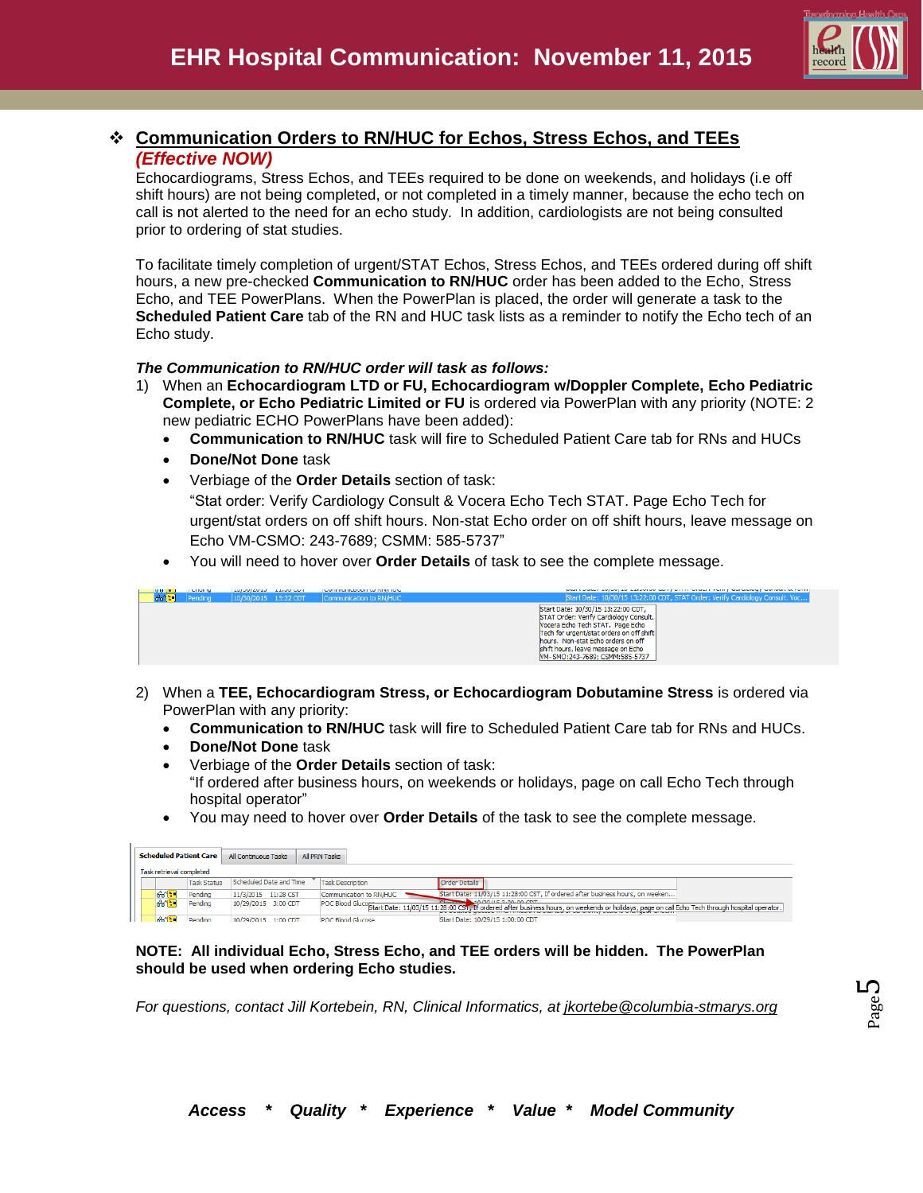

## **Communication Orders to RN/HUC for Echos, Stress Echos, and TEEs** *(Effective NOW)*

Echocardiograms, Stress Echos, and TEEs required to be done on weekends, and holidays (i.e off shift hours) are not being completed, or not completed in a timely manner, because the echo tech on call is not alerted to the need for an echo study. In addition, cardiologists are not being consulted prior to ordering of stat studies.

To facilitate timely completion of urgent/STAT Echos, Stress Echos, and TEEs ordered during off shift hours, a new pre-checked **Communication to RN/HUC** order has been added to the Echo, Stress Echo, and TEE PowerPlans. When the PowerPlan is placed, the order will generate a task to the **Scheduled Patient Care** tab of the RN and HUC task lists as a reminder to notify the Echo tech of an Echo study.

#### *The Communication to RN/HUC order will task as follows:*

- 1) When an **Echocardiogram LTD or FU, Echocardiogram w/Doppler Complete, Echo Pediatric Complete, or Echo Pediatric Limited or FU** is ordered via PowerPlan with any priority (NOTE: 2 new pediatric ECHO PowerPlans have been added):
	- **Communication to RN/HUC** task will fire to Scheduled Patient Care tab for RNs and HUCs
	- **Done/Not Done** task
	- Verbiage of the **Order Details** section of task: "Stat order: Verify Cardiology Consult & Vocera Echo Tech STAT. Page Echo Tech for urgent/stat orders on off shift hours. Non-stat Echo order on off shift hours, leave message on Echo VM-CSMO: 243-7689; CSMM: 585-5737"
	- You will need to hover over **Order Details** of task to see the complete message.

| 100(11) | <b>TELEVISION</b> | <b>ENTIRE LOTER SERVICES</b> | Communication in the party for a |                                                                                                                                                                                                                                                                             |
|---------|-------------------|------------------------------|----------------------------------|-----------------------------------------------------------------------------------------------------------------------------------------------------------------------------------------------------------------------------------------------------------------------------|
| aana :  | Pending           | $10/30/2015$ 13:22 CDT       | Communication to RN/HUC          | Start Date: 10/30/15 13:22:00 CDT, STAT Order: Verify Cardiology Consult                                                                                                                                                                                                    |
|         |                   |                              |                                  | Start Date: 10/30/15 13:22:00 CDT,<br>STAT Order: Verify Cardiology Consult.<br>Nocera Echo Tech STAT, Page Echo<br>Tech for urgent/stat orders on off shift<br>hours. Non-stat Echo orders on off<br>shift hours, leave message on Echo<br>M-SMO: 243-7689; CSMM: 585-5737 |

- 2) When a **TEE, Echocardiogram Stress, or Echocardiogram Dobutamine Stress** is ordered via PowerPlan with any priority:
	- **Communication to RN/HUC** task will fire to Scheduled Patient Care tab for RNs and HUCs.
	- **Done/Not Done** task
	- Verbiage of the **Order Details** section of task: "If ordered after business hours, on weekends or holidays, page on call Echo Tech through hospital operator"
	- You may need to hover over **Order Details** of the task to see the complete message.

| <b>Scheduled Patient Care</b> |                    | All Continuous Tasks    | All PRN Tasks            |                                                                                                                                                                                           |  |
|-------------------------------|--------------------|-------------------------|--------------------------|-------------------------------------------------------------------------------------------------------------------------------------------------------------------------------------------|--|
| Task retrieval completed      |                    |                         |                          |                                                                                                                                                                                           |  |
|                               | <b>Task Status</b> | Scheduled Date and Time | <b>Task Description</b>  | <b>Order Details</b>                                                                                                                                                                      |  |
| 66                            | Pendina            | 11/3/2015 11:28 CST     | Communication to RN/HUC  | Start Date: 11/03/15 11:28:00 CST, If ordered after business hours, on weeken                                                                                                             |  |
| 66 P                          | Pending            | 10/29/2015 3:00 CDT     |                          | $-10/20/15$ 2-00-00 CDT<br>POC Blood Gluco Start Date: 11/03/15 11:28:00 CST, If ordered after business hours, on weekends or holidays, page on call Edno Tech through hospital operator. |  |
|                               | Pending            | 10/29/2015 1:00 CDT     | <b>POC Blood Glucose</b> | Start Date: 10/29/15 1:00:00 CDT                                                                                                                                                          |  |

#### **NOTE: All individual Echo, Stress Echo, and TEE orders will be hidden. The PowerPlan should be used when ordering Echo studies.**

*For questions, contact Jill Kortebein, RN, Clinical Informatics, at jkortebe@columbia-stmarys.org*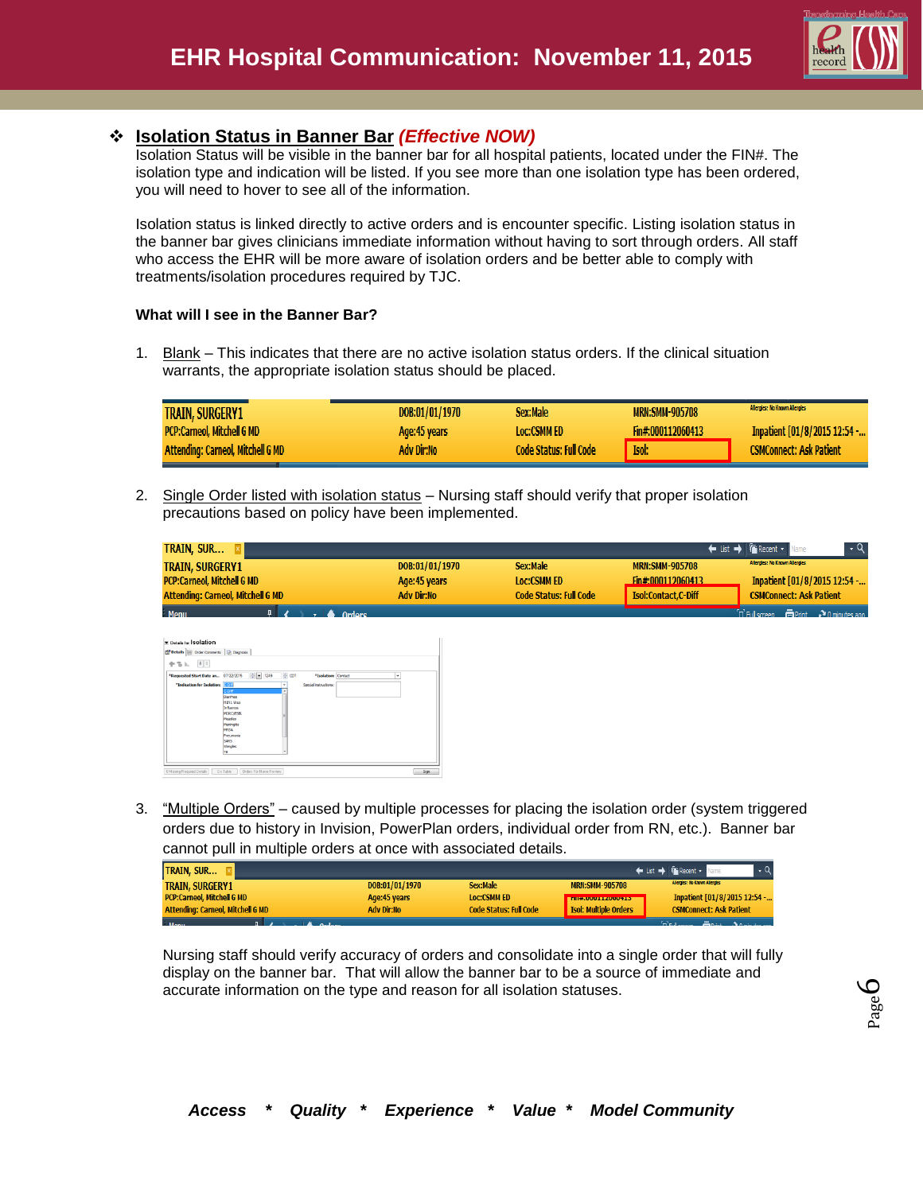

# **Isolation Status in Banner Bar** *(Effective NOW)*

Isolation Status will be visible in the banner bar for all hospital patients, located under the FIN#. The isolation type and indication will be listed. If you see more than one isolation type has been ordered, you will need to hover to see all of the information.

Isolation status is linked directly to active orders and is encounter specific. Listing isolation status in the banner bar gives clinicians immediate information without having to sort through orders. All staff who access the EHR will be more aware of isolation orders and be better able to comply with treatments/isolation procedures required by TJC.

## **What will I see in the Banner Bar?**

1. Blank – This indicates that there are no active isolation status orders. If the clinical situation warrants, the appropriate isolation status should be placed.

| <b>TRAIN, SURGERY1</b>                   | DOB:01/01/1970 | Sex:Male                      | <b>MRN:SMM-905708</b> | Allergies: No Known Allergies  |
|------------------------------------------|----------------|-------------------------------|-----------------------|--------------------------------|
| <b>PCP:Carneol, Mitchell G MD</b>        | Age:45 years   | <b>Loc:CSMM ED</b>            | Fin#:000112060413     | Inpatient [01/8/2015 12:54 -   |
| <b>Attending: Carneol, Mitchell G MD</b> | Adv Dir:No     | <b>Code Status: Full Code</b> | Isol:                 | <b>CSMConnect: Ask Patient</b> |

2. Single Order listed with isolation status – Nursing staff should verify that proper isolation precautions based on policy have been implemented.

| <b>TRAIN, SUR XI</b>                     |                |                               |                       | List → Facent v Name                                                                                                |
|------------------------------------------|----------------|-------------------------------|-----------------------|---------------------------------------------------------------------------------------------------------------------|
| <b>TRAIN, SURGERY1</b>                   | DOB:01/01/1970 | Sex:Male                      | <b>MRN:SMM-905708</b> | <b>Allergies: No Known Allergies</b>                                                                                |
| <b>PCP:Carneol, Mitchell G MD</b>        | Age: 45 years  | <b>Loc:CSMM ED</b>            | Fin#:000112060413     | Inpatient [01/8/2015 12:54 -                                                                                        |
| <b>Attending: Carneol, Mitchell G MD</b> | Adv Dir:No     | <b>Code Status: Full Code</b> | Isol:Contact.C-Diff   | <b>CSMConnect: Ask Patient</b>                                                                                      |
| <b>Menu</b><br><b>Ordore</b>             |                |                               |                       | $n_{\text{Eul screen}}$ $\overline{m}_{\text{Print}}$ $\overline{m}_{\text{Dmin}}$ $\overline{m}_{\text{Eulgeran}}$ |

| <b>z</b> Details for <b>Solation</b><br>Details (18 Order Comments   Diagnosis |                                                                                                                                               |                          |                       |   |  |
|--------------------------------------------------------------------------------|-----------------------------------------------------------------------------------------------------------------------------------------------|--------------------------|-----------------------|---|--|
| $\left\Vert \mathbb{I}\right\Vert \left. \mathbb{U}\right\Vert$<br>中等队         |                                                                                                                                               |                          |                       |   |  |
| "Requested Start Date an 07/22/2015                                            | $-1249$                                                                                                                                       | $\Rightarrow$ con        | "Isolation: Contact   | ٠ |  |
| *Indication for Isolation:                                                     | वरता<br>coff<br>Diarrhea<br>HIN1 Virus<br>Influenza<br>MDRO/ESBL<br>Meades<br>Meningitis<br>MRSA<br>Pneumonia<br><b>SARS</b><br>Shingles<br>m | ٠<br>$\hat{\phantom{a}}$ | Special instructions: |   |  |

3. "Multiple Orders" – caused by multiple processes for placing the isolation order (system triggered orders due to history in Invision, PowerPlan orders, individual order from RN, etc.). Banner bar cannot pull in multiple orders at once with associated details.

| <b>TRAIN, SUR</b>                        |                |                               |                                | ← List → <del>Mi</del> Recent + N |
|------------------------------------------|----------------|-------------------------------|--------------------------------|-----------------------------------|
| <b>TRAIN, SURGERY1</b>                   | DOB:01/01/1970 | Sex:Male                      | <b>MRN:SMM-905708</b>          | Allergies: No Known Allergies     |
| <b>PCP:Carneol, Mitchell G MD</b>        | Age: 45 years  | <b>Loc:CSMM ED</b>            | <b>ETHIA, UUUJ LI AUUUT LO</b> | Inpatient [01/8/2015 12:54 -      |
| <b>Attending: Carneol, Mitchell G MD</b> | Adv Dir:No     | <b>Code Status: Full Code</b> | <b>Isol: Multiple Orders</b>   | <b>CSMConnect: Ask Patient</b>    |
| <b>Monu</b>                              |                |                               |                                | Delayers Filippi 20 minutes and   |

Nursing staff should verify accuracy of orders and consolidate into a single order that will fully display on the banner bar. That will allow the banner bar to be a source of immediate and accurate information on the type and reason for all isolation statuses.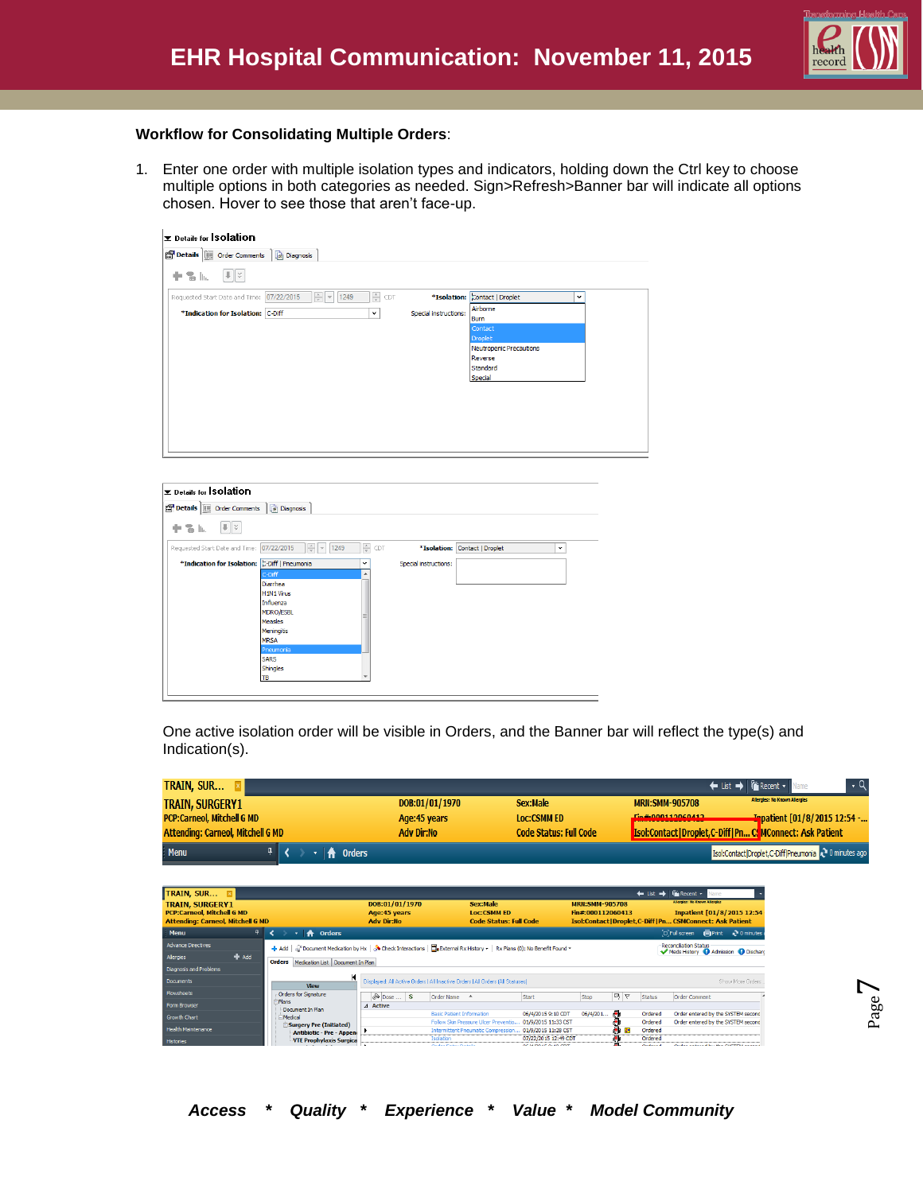

#### **Workflow for Consolidating Multiple Orders**:

1. Enter one order with multiple isolation types and indicators, holding down the Ctrl key to choose multiple options in both categories as needed. Sign>Refresh>Banner bar will indicate all options chosen. Hover to see those that aren't face-up.

| Details for Solation                                                                                                           |                                               |  |
|--------------------------------------------------------------------------------------------------------------------------------|-----------------------------------------------|--|
| Details <b>IF</b> Order Comments <b>In Diagnosis</b>                                                                           |                                               |  |
| $   \cdot   $<br>十名瓜                                                                                                           |                                               |  |
| $\frac{\Delta}{\Psi}$<br>$\frac{1}{\sqrt{2}}$ $\frac{1}{\sqrt{2}}$<br>Requested Start Date and Time: 07/22/2015<br>1249<br>CDT | *Isolation: Contact   Droplet<br>$\checkmark$ |  |
| *Indication for Isolation: C-Diff<br>$\check{~}$                                                                               | Airborne<br>Special instructions:<br>Burn     |  |
|                                                                                                                                | Contact<br>Droplet                            |  |
|                                                                                                                                | Neutropenic Precautions                       |  |
|                                                                                                                                | Reverse<br>Standard                           |  |
|                                                                                                                                | Special                                       |  |
|                                                                                                                                |                                               |  |
|                                                                                                                                |                                               |  |
|                                                                                                                                |                                               |  |
|                                                                                                                                |                                               |  |
|                                                                                                                                |                                               |  |

| Details   Order Comments   @ Diagnosis        |                                                     |                       |                               |              |
|-----------------------------------------------|-----------------------------------------------------|-----------------------|-------------------------------|--------------|
| $  \cdot   \times$<br>十名區                     |                                                     |                       |                               |              |
| 07/22/2015<br>Requested Start Date and Time:  | $\frac{1}{x}$<br>÷<br>CDT<br>1249<br>$\vert \nabla$ |                       | *Isolation: Contact   Droplet | $\checkmark$ |
| *Indication for Isolation: C-Diff   Pneumonia | $\checkmark$                                        | Special instructions: |                               |              |
| C-Diff                                        | ▲                                                   |                       |                               |              |
| Diarrhea                                      |                                                     |                       |                               |              |
| <b>H1N1 Virus</b>                             |                                                     |                       |                               |              |
| Influenza                                     |                                                     |                       |                               |              |
| <b>MDRO/ESBL</b>                              |                                                     |                       |                               |              |
| <b>Measles</b>                                |                                                     |                       |                               |              |
| Meningitis                                    |                                                     |                       |                               |              |
| <b>MRSA</b>                                   |                                                     |                       |                               |              |
| Pneumonia                                     |                                                     |                       |                               |              |
| <b>SARS</b>                                   |                                                     |                       |                               |              |
| Shingles                                      |                                                     |                       |                               |              |
| TB                                            |                                                     |                       |                               |              |

One active isolation order will be visible in Orders, and the Banner bar will reflect the type(s) and Indication(s).

| TRAIN, SUR                               |                |                               | ← List → <del>Fix</del> Recent v                                    |
|------------------------------------------|----------------|-------------------------------|---------------------------------------------------------------------|
| <b>TRAIN, SURGERY1</b>                   | DOB:01/01/1970 | Sex:Male                      | <b>Allergies: No Known Allergies</b><br><b>MRN:SMM-905708</b>       |
| <b>PCP:Carneol, Mitchell G MD</b>        | Age: 45 years  | <b>Loc:CSMM ED</b>            | Ein#-000112060412<br><b>Inpatient [01/8/2015 12:54 -</b>            |
| <b>Attending: Carneol, Mitchell G MD</b> | Adv Dir:No     | <b>Code Status: Full Code</b> | <b>Isol:Contact   Droplet, C-Diff   Pn C. MConnect: Ask Patient</b> |
| <b>Menu</b><br><del>n</del> Orders       |                |                               | Isol:Contact Droplet,C-Diff Pneumonia 2 0 minutes ago               |

| TRAIN, SUR E<br><b>TRAIN, SURGERY1</b><br><b>PCP:Carneol. Mitchell G MD</b><br><b>Attending: Carneol, Mitchell G MD</b> |                                                                                                                         | DOB:01/01/1970<br>Age:45 years<br><b>Adv Dir:No</b> |                                  | Sex:Male<br><b>Loc:CSMM ED</b><br><b>Code Status: Full Code</b>                 |                                                                                | <b>MRN:SMM-905708</b><br>Fin#:000112060413 |    | $\leftarrow$ List $\rightarrow$ | <b><i>Ca</i></b> Recent -<br>Jame<br><b>Allergies: No Known Allergies</b><br>Inpatient [01/8/2015 12:54<br>Isol:Contact   Droplet,C-Diff   Pn CSMConnect: Ask Patient |                    |
|-------------------------------------------------------------------------------------------------------------------------|-------------------------------------------------------------------------------------------------------------------------|-----------------------------------------------------|----------------------------------|---------------------------------------------------------------------------------|--------------------------------------------------------------------------------|--------------------------------------------|----|---------------------------------|-----------------------------------------------------------------------------------------------------------------------------------------------------------------------|--------------------|
| Menu                                                                                                                    | <b>Orders</b><br>₩                                                                                                      |                                                     |                                  |                                                                                 |                                                                                |                                            |    |                                 | [D] Full screen<br><b>Imprint</b>                                                                                                                                     | $\geq 0$ minutes a |
| <b>Advance Directives</b>                                                                                               | + Add   √ Pocument Medication by Hx   √ Check Interactions   □ External Rx History -   Rx Plans (0): No Benefit Found + |                                                     |                                  |                                                                                 |                                                                                |                                            |    |                                 | <b>Reconcilation Status</b>                                                                                                                                           |                    |
| $#$ Add<br>Allergies                                                                                                    | Medication List Document In Plan<br><b>Orders</b>                                                                       |                                                     |                                  |                                                                                 |                                                                                |                                            |    |                                 | Meds History 4 Admission 4 Dischard                                                                                                                                   |                    |
| Diagnosis and Problems                                                                                                  |                                                                                                                         |                                                     |                                  |                                                                                 |                                                                                |                                            |    |                                 |                                                                                                                                                                       |                    |
| <b>Documents</b>                                                                                                        | <b>View</b>                                                                                                             |                                                     |                                  | Displayed: All Active Orders   All Inactive Orders   All Orders   All Statuses] |                                                                                |                                            |    |                                 |                                                                                                                                                                       | Show More Orders   |
| Flowsheets                                                                                                              | Orders for Signature                                                                                                    | $\infty$ Dose  \$                                   | Order Name 4                     |                                                                                 | Start                                                                          | Stop                                       | 马卜 | Status                          | Order Comment                                                                                                                                                         |                    |
| Form Browser                                                                                                            | -Plans<br>Document In Plan                                                                                              | 4 Active                                            |                                  |                                                                                 |                                                                                |                                            |    |                                 |                                                                                                                                                                       |                    |
| <b>Growth Chart</b>                                                                                                     | <b>Medical</b>                                                                                                          |                                                     | <b>Basic Patient Information</b> |                                                                                 | 06/4/2015 9:10 CDT                                                             | 06/4/201                                   | Æ  | Ordered                         | Order entered by the SYSTEM second                                                                                                                                    |                    |
| <b>Health Maintenance</b>                                                                                               | Surgery Pre (Initiated)                                                                                                 |                                                     |                                  | Follow Skin Pressure Ulcer Preventio                                            | 01/9/2015 11:33 CST                                                            |                                            |    | Ordered<br>Ordered              | Order entered by the SYSTEM second                                                                                                                                    |                    |
|                                                                                                                         | <b>Antibiotic - Pre - Appeni</b>                                                                                        |                                                     | Tenlation                        |                                                                                 | Intermittent Pneumatic Compression 01/9/2015 11:28 CST<br>07/22/2015 12:49 CDT |                                            |    | Ordered                         |                                                                                                                                                                       |                    |
| <b>Histories</b>                                                                                                        | VTE Prophylaxis Surgica                                                                                                 |                                                     | Order Patrick Details            |                                                                                 | or lamost outgings                                                             |                                            | s. | Containing and                  | <b>Contact and account that the concerning accounts</b>                                                                                                               |                    |

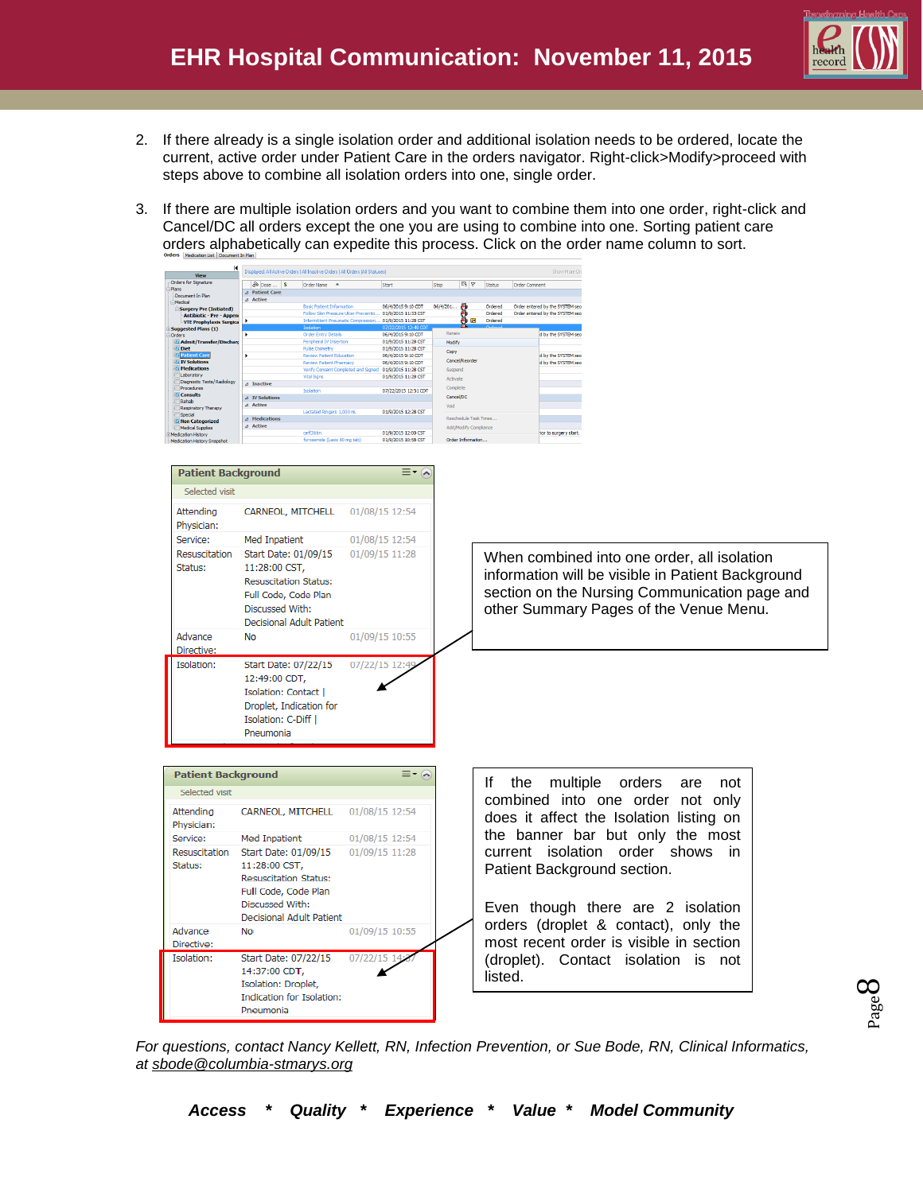

Page  $\infty$ 

- 2. If there already is a single isolation order and additional isolation needs to be ordered, locate the current, active order under Patient Care in the orders navigator. Right-click>Modify>proceed with steps above to combine all isolation orders into one, single order.
- 3. If there are multiple isolation orders and you want to combine them into one order, right-click and Cancel/DC all orders except the one you are using to combine into one. Sorting patient care orders alphabetically can expedite this process. Click on the order name column to sort.

| <b>View</b>                                                                                                  |                                                    |          |                                                                                 |                                |                    |                                 |                 |                                                   |  |
|--------------------------------------------------------------------------------------------------------------|----------------------------------------------------|----------|---------------------------------------------------------------------------------|--------------------------------|--------------------|---------------------------------|-----------------|---------------------------------------------------|--|
| Orders for Signature<br>Document In Plan                                                                     | $\delta$ Dose  5<br>Order Name A<br>⊿ Patient Care |          | Start                                                                           |                                | <b>By</b> Y Status | Order Comment                   |                 |                                                   |  |
| Medical                                                                                                      | ⊿ Active<br><b>Basic Patient Information</b>       |          | 06/4/2015 9:10 CDT                                                              | 06/4/201<br>ø                  | Ordered            | Order entered by the SYSTEM sec |                 |                                                   |  |
| Surgery Pre (Initiated)<br>Antibiotic - Pre - Appen<br>VTE Prophylaxis Surgica<br><b>Suggested Plans (1)</b> |                                                    |          | Follow Skin Pressure Ulcer Preventio 01/9/2015 11:33 CST<br>01/9/2015 11:28 CST | ¢.                             | Ordered<br>Ordered | Order entered by the SYSTEM sec |                 |                                                   |  |
| Orders<br>Z Admit/Transfer/Dischar                                                                           | Order Entry Details<br>Peripheral IV Insertion     |          | 06/4/2015 9:10 CDT<br>01/9/2015 11:28 CST                                       | Renew<br>Modify                |                    | d by the SYSTEM sec             |                 |                                                   |  |
| <b>Diet</b>                                                                                                  | Pulse Oximetry<br><b>Review Patient Education</b>  |          | 01/9/2015 11:28 CST<br>06/4/2015 9:10 CDT                                       | Copy                           |                    | d by the SYSTEM seo             |                 |                                                   |  |
| <u>√ Patie</u><br><b>El IV Solutions</b>                                                                     | <b>Review Patient Pharmacy</b>                     |          | 06/4/2015 9:10 CDT                                                              | Cancel/Reorder                 |                    | d by the SYSTEM sec             |                 |                                                   |  |
| <b>Medications</b><br>Laboratory                                                                             | Verify Consent Completed and Sign<br>Vital Signs   |          | 01/9/2015 11:28 CST<br>01/9/2015 11:28 CST                                      | Suspend<br>Activate            |                    |                                 |                 |                                                   |  |
| Diagnostic Tests/Radiology<br>Procedures                                                                     | $\triangle$ Inactive<br>Isolation                  |          | 07/22/2015 12:51 CDT                                                            | Complete                       |                    |                                 |                 |                                                   |  |
| <b>Consults</b><br>Rehab                                                                                     | $\triangle$ IV Solution<br>⊿ Active                |          |                                                                                 | Cancel/DC                      |                    |                                 |                 |                                                   |  |
| Respiratory Therapy<br>Special                                                                               | Lactated Ringers 1,000 mL                          |          | 01/9/2015 12:28 CST                                                             | Void<br>Reschedule Task Times. |                    |                                 |                 |                                                   |  |
| Mon Categorized<br>Medical Supplies                                                                          | <b>4</b> Medications<br>4 Active                   |          |                                                                                 | Add/Modify Compliance          |                    |                                 |                 |                                                   |  |
| Medication History<br>Medication History Snapshot                                                            | cefOXitin<br>furosemide (Lasix 80 mg tab)          |          | 01/9/2015 12:00 CST<br>01/9/2015 10:58 CST                                      | Order Information              |                    | for to surgery start.           |                 |                                                   |  |
|                                                                                                              |                                                    |          |                                                                                 |                                |                    |                                 |                 |                                                   |  |
| <b>Patient Background</b>                                                                                    |                                                    |          | $\equiv$ $\sim$ $\sim$                                                          |                                |                    |                                 |                 |                                                   |  |
| Selected visit                                                                                               |                                                    |          |                                                                                 |                                |                    |                                 |                 |                                                   |  |
| Attending<br>Physician:                                                                                      | CARNEOL, MITCHELL                                  |          | 01/08/15 12:54                                                                  |                                |                    |                                 |                 |                                                   |  |
| Service:                                                                                                     | Med Inpatient                                      |          | 01/08/15 12:54                                                                  |                                |                    |                                 |                 |                                                   |  |
| Resuscitation                                                                                                | Start Date: 01/09/15                               |          | 01/09/15 11:28                                                                  |                                |                    |                                 |                 | When combined into one order, all isolation       |  |
| Status:                                                                                                      | 11:28:00 CST,                                      |          |                                                                                 |                                |                    |                                 |                 |                                                   |  |
|                                                                                                              | <b>Resuscitation Status:</b>                       |          |                                                                                 |                                |                    |                                 |                 | information will be visible in Patient Background |  |
|                                                                                                              | Full Code, Code Plan                               |          |                                                                                 |                                |                    |                                 |                 | section on the Nursing Communication page and     |  |
|                                                                                                              | Discussed With:                                    |          |                                                                                 |                                |                    |                                 |                 | other Summary Pages of the Venue Menu.            |  |
|                                                                                                              | Decisional Adult Patient                           |          |                                                                                 |                                |                    |                                 |                 |                                                   |  |
| Advance                                                                                                      | No                                                 |          | 01/09/15 10:55                                                                  |                                |                    |                                 |                 |                                                   |  |
| Directive:                                                                                                   |                                                    |          |                                                                                 |                                |                    |                                 |                 |                                                   |  |
| Isolation:                                                                                                   | Start Date: 07/22/15                               |          | 07/22/15 12:49                                                                  |                                |                    |                                 |                 |                                                   |  |
|                                                                                                              | 12:49:00 CDT.                                      |          |                                                                                 |                                |                    |                                 |                 |                                                   |  |
|                                                                                                              |                                                    |          |                                                                                 |                                |                    |                                 |                 |                                                   |  |
|                                                                                                              | Isolation: Contact                                 |          |                                                                                 |                                |                    |                                 |                 |                                                   |  |
|                                                                                                              | Droplet, Indication for                            |          |                                                                                 |                                |                    |                                 |                 |                                                   |  |
|                                                                                                              | Isolation: C-Diff                                  |          |                                                                                 |                                |                    |                                 |                 |                                                   |  |
|                                                                                                              | Pneumonia                                          |          |                                                                                 |                                |                    |                                 |                 |                                                   |  |
|                                                                                                              |                                                    |          |                                                                                 |                                |                    |                                 |                 |                                                   |  |
| <b>Patient Background</b>                                                                                    |                                                    |          | $\equiv$ $\sim$                                                                 |                                | lf.                | the                             | multiple orders | are<br>not                                        |  |
| Selected visit                                                                                               |                                                    |          |                                                                                 |                                |                    |                                 |                 | combined into one order not only                  |  |
| Attending                                                                                                    | CARNEOL, MITCHELL                                  |          | 01/08/15 12:54                                                                  |                                |                    |                                 |                 |                                                   |  |
| Physician:                                                                                                   |                                                    |          |                                                                                 |                                |                    |                                 |                 | does it affect the Isolation listing on           |  |
| Service:                                                                                                     | Med Inpatient                                      |          | 01/08/15 12:54                                                                  |                                |                    |                                 |                 | the banner bar but only the most                  |  |
|                                                                                                              | Resuscitation Start Date: 01/09/15                 |          | 01/09/15 11:28                                                                  |                                |                    | current isolation order shows   |                 | in                                                |  |
| Status:                                                                                                      | 11:28:00 CST,                                      |          |                                                                                 |                                |                    |                                 |                 |                                                   |  |
|                                                                                                              | <b>Resuscitation Status:</b>                       |          |                                                                                 |                                |                    | Patient Background section.     |                 |                                                   |  |
|                                                                                                              | Full Code, Code Plan                               |          |                                                                                 |                                |                    |                                 |                 |                                                   |  |
|                                                                                                              | Discussed With:                                    |          |                                                                                 |                                |                    |                                 |                 |                                                   |  |
|                                                                                                              | Decisional Adult Patient                           |          |                                                                                 |                                |                    |                                 |                 | Even though there are 2 isolation                 |  |
| Advance                                                                                                      | No                                                 |          | 01/09/15 10:55                                                                  |                                |                    |                                 |                 | orders (droplet & contact), only the              |  |
| Directive:                                                                                                   |                                                    |          |                                                                                 |                                |                    |                                 |                 | most recent order is visible in section           |  |
| Isolation:                                                                                                   | Start Date: 07/22/15                               | 07/22/15 |                                                                                 |                                |                    |                                 |                 |                                                   |  |
|                                                                                                              | 14:37:00 CDT,                                      |          |                                                                                 |                                |                    | (droplet). Contact isolation is |                 | not                                               |  |
|                                                                                                              | Isolation: Droplet,                                |          |                                                                                 |                                | listed.            |                                 |                 |                                                   |  |
|                                                                                                              | Indication for Isolation:                          |          |                                                                                 |                                |                    |                                 |                 |                                                   |  |
|                                                                                                              |                                                    |          |                                                                                 |                                |                    |                                 |                 |                                                   |  |
|                                                                                                              | Pneumonia                                          |          |                                                                                 |                                |                    |                                 |                 |                                                   |  |

*For questions, contact Nancy Kellett, RN, Infection Prevention, or Sue Bode, RN, Clinical Informatics, at [sbode@columbia-stmarys.org](mailto:sbode@columbia-stmarys.org)*